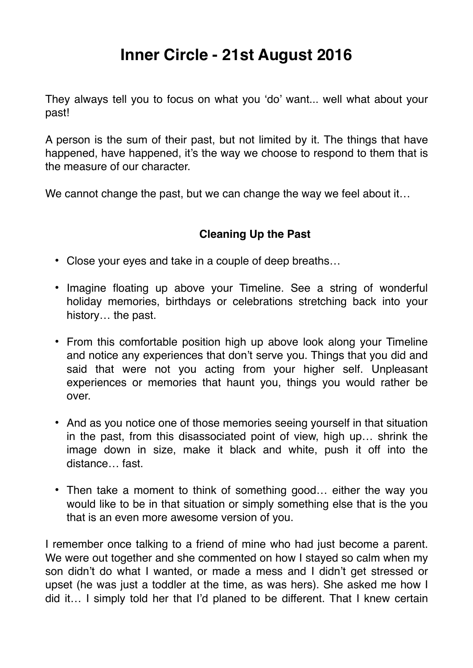## **Inner Circle - 21st August 2016**

They always tell you to focus on what you 'do' want... well what about your past!

A person is the sum of their past, but not limited by it. The things that have happened, have happened, it's the way we choose to respond to them that is the measure of our character.

We cannot change the past, but we can change the way we feel about it...

## **Cleaning Up the Past**

- Close your eyes and take in a couple of deep breaths…
- Imagine floating up above your Timeline. See a string of wonderful holiday memories, birthdays or celebrations stretching back into your history… the past.
- From this comfortable position high up above look along your Timeline and notice any experiences that don't serve you. Things that you did and said that were not you acting from your higher self. Unpleasant experiences or memories that haunt you, things you would rather be over.
- And as you notice one of those memories seeing yourself in that situation in the past, from this disassociated point of view, high up… shrink the image down in size, make it black and white, push it off into the distance… fast.
- Then take a moment to think of something good... either the way you would like to be in that situation or simply something else that is the you that is an even more awesome version of you.

I remember once talking to a friend of mine who had just become a parent. We were out together and she commented on how I stayed so calm when my son didn't do what I wanted, or made a mess and I didn't get stressed or upset (he was just a toddler at the time, as was hers). She asked me how I did it… I simply told her that I'd planed to be different. That I knew certain